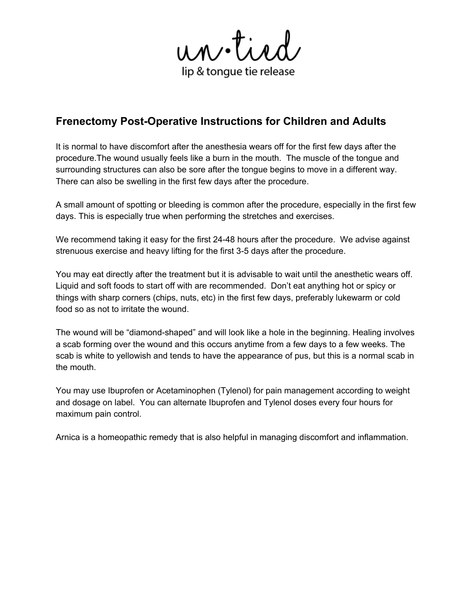un.tied lip & tongue tie release

# **Frenectomy Post-Operative Instructions for Children and Adults**

It is normal to have discomfort after the anesthesia wears off for the first few days after the procedure.The wound usually feels like a burn in the mouth. The muscle of the tongue and surrounding structures can also be sore after the tongue begins to move in a different way. There can also be swelling in the first few days after the procedure.

A small amount of spotting or bleeding is common after the procedure, especially in the first few days. This is especially true when performing the stretches and exercises.

We recommend taking it easy for the first 24-48 hours after the procedure. We advise against strenuous exercise and heavy lifting for the first 3-5 days after the procedure.

You may eat directly after the treatment but it is advisable to wait until the anesthetic wears off. Liquid and soft foods to start off with are recommended. Don't eat anything hot or spicy or things with sharp corners (chips, nuts, etc) in the first few days, preferably lukewarm or cold food so as not to irritate the wound.

The wound will be "diamond-shaped" and will look like a hole in the beginning. Healing involves a scab forming over the wound and this occurs anytime from a few days to a few weeks. The scab is white to yellowish and tends to have the appearance of pus, but this is a normal scab in the mouth.

You may use Ibuprofen or Acetaminophen (Tylenol) for pain management according to weight and dosage on label. You can alternate Ibuprofen and Tylenol doses every four hours for maximum pain control.

Arnica is a homeopathic remedy that is also helpful in managing discomfort and inflammation.